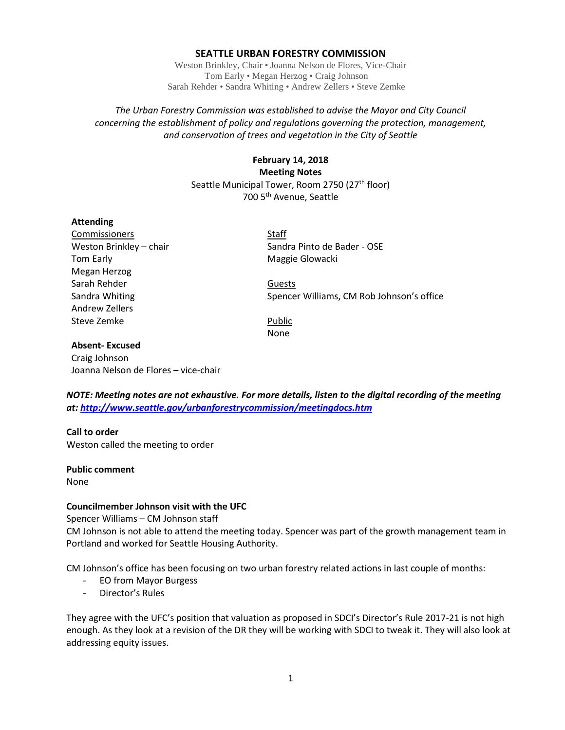### **SEATTLE URBAN FORESTRY COMMISSION**

Weston Brinkley, Chair • Joanna Nelson de Flores, Vice-Chair Tom Early • Megan Herzog • Craig Johnson Sarah Rehder • Sandra Whiting • Andrew Zellers • Steve Zemke

## *The Urban Forestry Commission was established to advise the Mayor and City Council concerning the establishment of policy and regulations governing the protection, management, and conservation of trees and vegetation in the City of Seattle*

# **February 14, 2018 Meeting Notes** Seattle Municipal Tower, Room 2750 (27<sup>th</sup> floor) 700 5th Avenue, Seattle

#### **Attending**

Commissioners Staff Tom Early **Maggie Glowacki** Megan Herzog Sarah Rehder Guests Andrew Zellers Steve Zemke **Public** 

Weston Brinkley – chair Sandra Pinto de Bader - OSE

Sandra Whiting Spencer Williams, CM Rob Johnson's office

None

#### **Absent- Excused**

Craig Johnson Joanna Nelson de Flores – vice-chair

*NOTE: Meeting notes are not exhaustive. For more details, listen to the digital recording of the meeting at:<http://www.seattle.gov/urbanforestrycommission/meetingdocs.htm>*

### **Call to order**

Weston called the meeting to order

### **Public comment**

None

### **Councilmember Johnson visit with the UFC**

Spencer Williams – CM Johnson staff

CM Johnson is not able to attend the meeting today. Spencer was part of the growth management team in Portland and worked for Seattle Housing Authority.

CM Johnson's office has been focusing on two urban forestry related actions in last couple of months:

- EO from Mayor Burgess
- Director's Rules

They agree with the UFC's position that valuation as proposed in SDCI's Director's Rule 2017-21 is not high enough. As they look at a revision of the DR they will be working with SDCI to tweak it. They will also look at addressing equity issues.